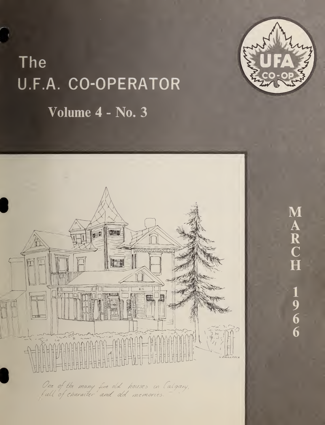

# The U.F.A. CO-OPERATOR Volume 4 - No. 3



 $\mathbf M$  $\overline{A}$   $\overline{R}$   $\overline{C}$   $\overline{H}$  $\frac{1}{9}$ <br>6<br>6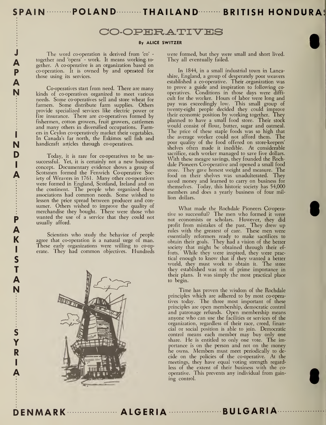SPAIN ………POLAND………THAILAND……… BRITISH HONDURA!

## CO-OPERATIVES

#### By ALICE SWITZER

**A** together and 'opera' - work. It means working together. A co-operative is an organization based on The word co-operation is derived from 'co' together and 'opera' - work. It means working, to co-operation. It is owned by and operated for those using its services.

J

P A N

I

I

P A K IS T A N

> S Y R

> > I

A

N handicraft articles through co-operatives. Co-operatives start from need. There are many kinds of co-operatives organized to meet various needs. Some co-operatives sell and store wheat for farmers. Some distribute farm supplies. Others provide specialized services like electric power or fire insurance. There are co-operatives formed by fishermen, cotton growers, fruit growers, cattlemen and many others in diversified occupations. Farmers in Ceylon co-operatively market their vegetables. In Canada's far north, the Eskimos sell fish and

D Today, it is rare for co-operatives to be un- $A$  Scot successful. Yet, it is certainly not <sup>a</sup> new business concept. Documentary evidence shows a group of Scotsmen formed the Fenwich Co-operative Society of Weavers in 1761. Many other co-operatives were formed in England, Scotland, Ireland and on the continent. The people who organized these associations had common needs. Some wished to lessen the price spread between producer and con sumer. Others wished to improve the quality of merchandise they bought. There were those who wanted the use of a service that they could not usually afford.

> Scientists who study the behavior of people agree that co-operation is a natural urge of man. These early organizations were willing to co-operate. They had common objectives. Hundreds



were formed, but they were small and short lived. They all eventually failed.

In 1844, in a small industrial town in Lancashire, England, a group of desperately poor weavers established a co-operative. Their .organization was to prove a guide and inspiration to following co operatives. Conditions in those days were diffi cult for the worker. Hours of labor were long and pay was exceedingly low. This small group of twenty-eight people decided they could improve their economic position by working together. They planned to have a small food store. Their stock would consist of flour, butter, sugar and oatmeal. The price of these staple foods was so high that the average worker could not afford them. The poor quality of the food offered on store-keepers' shelves often made it inedible. At considerable sacrifice, each worker managed to save five dollars. With these meagre savings, they founded the Rochdale Pioneers Co-operative and opened a small food store. They gave honest weight and measure. The food on their shelves was unadulterated. They saved money and learned to carry on business for themselves. Today, this historic society has 54,000 members and does a yearly business of four million dollars.

What made the Rochdale Pioneers Co-operative so successful? The men who formed it were not economists or scholars. However, they did profit from mistakes of the past. They drew up rules with the greatest of care. These men were essentially reformers ready to make sacrifices to obtain their goals. They had <sup>a</sup> vision of the better society that might be obtained through their efforts. While they were inspired, they were practical enough to know that if they wanted <sup>a</sup> better world, they must work to obtain it. The store they established was not of prime importance in their plans. It was simply the most practical place to begin.

Time has proven the wisdom of the Rochdale principles which are adhered to by most co-operatives today. The three most important of these principles are open membership, democratic control and patronage refunds. Open membership means anyone who can use the facilities or services of the organization, regardless of their race, creed, financial or social position is able to join. Democratic control means each member may buy only one share. He is entitled to only one vote. The importance is on the person and not on the money he owns. Members must meet periodically to de cide on the policies of the co-operative. At the meetings, they have equal voting strength regardless of the extent of their business with the co operative. This prevents any individual from gaining control.

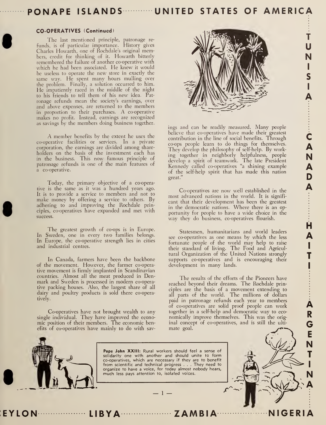## PONAPE ISLANDS ........... UNITED STATES OF AMERICA

#### CO-OPERATIVES (Continued)

The last mentioned principle, patronage re funds, is of particular importance. History gives Charles Howarth, one of Rochdale's original members, credit for thinking of it. Howarth bitterly remembered the failure of another co-operative with which he had been associated. He knew it would be useless to operate the new store in exactly the same way. He spent many hours mulling over the problem. Finally, a solution occurred to him. He impatiently raced in the middle of the night to his friends to tell them of his new idea. Pat ronage refunds mean the society's earnings, over and above expenses, are returned to the members in proportion to their purchases. A co-operative makes no profit. Instead, earnings are recognized as savings by the members doing business together.

A member benefits by the extent he uses the co-operative facilities or services. In a private corporation, the earnings are divided among share holders on the basis of the investment each has in the business. This now famous principle of patronage refunds is one of the main features of a co-operative.

Today, the primary objective of a co-operative is the same as it was a hundred years ago. It is to provide a service to members and not to make money by offering <sup>a</sup> service to others. By adhering to and improving the Rochdale principles, co-operatives have expanded and met with success.

The greatest growth of co-ops is in Europe. In Sweden, one in every two families belongs. In Europe, the co-operative strength lies in cities and industrial centres.

In Canada, farmers have been the backbone of the movement. However, the farmer co-operative movement is firmly implanted in Scandinavian countries. Almost all the meat produced in Denmark and Sweden is processed in modern co-operative packing houses. Also, the largest share of all dairy and poultry products is sold there co-operatively.

Co-operatives have not brought wealth to any single individual. They have improved the econo mic position of their members. The economic benefits of co-operatives have mainly to do with sav-



T

L

I

 $\ddot{\hat{\textbf{c}}}$ 

A N A D A

H

IT I

R G E

A

A

N

N A

T

I

U N

S

A

ings and can be readily measured. Many people believe that co-operatives have made their greatest contribution in the line of social benefits. Through co-ops people learn to do things for themselves. They develop the philosophy of self-help. By working together in neighborly helpfulness, people develop <sup>a</sup> spirit of teamwork. The late President Kennedy called co-operatives "a shining example of the self-help spirit that has made this nation great."

Co-operatives are now well established in the most advanced nations in the world. It is signifi cant that their development has been the greatest in the democratic nations. Where there is an op portunity for people to have a wide choice in the way they do business, co-operatives flourish.

Statesmen, humanitarians and world leaders see co-operatives as one means by which the less fortunate people of the world may help to raise their standard of living. The Food and Agricultural Organization of the United Nations strongly supports co-operatives and is encouraging their development in many lands.

The results of the efforts of the Pioneers have reached beyond their dreams. The Rochdale principles are the basis of a movement extending to all parts of the world. The millions of dollars paid in patronage refunds each year to members of co-operatives are solid proof people can work together in <sup>a</sup> self-help and democratic way to eco nomically improve themselves. This was the orig inal concept of co-operatives, and is still the ulti mate goal.

 $\sqrt{2}$   $\sqrt{2}$   $\sqrt{2}$ 

NIGERIA



Pope John XXIII: Rural workers should feel a sense of solidarity one with another and should unite to form co-operatives, which are necessary if they are to benefit  $\; \; \; \; \; \;$  from scientific and technical progress . . . They need to  $\; \; \; \; \;$ organize to have a voice, for today almost nobody hears, much less pays attention to, isolated voices.

— <sup>1</sup> —

LON LIBYA ZAMBIA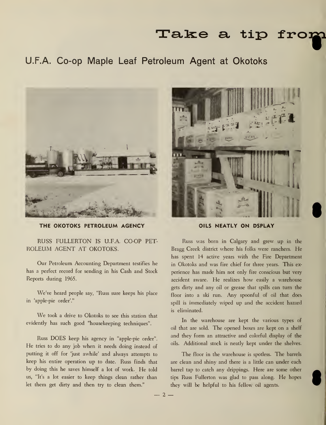## Take a tip fro:

## U.F.A. Co-op Maple Leaf Petroleum Agent at Okotoks



THE OKOTOKS PETROLEUM AGENCY OILS NEATLY ON DSPLAY

RUSS FULLERTON IS U.F.A. CO-OP PET-ROLEUM AGENT AT OKOTOKS.

Our Petroleum Accounting Department testifies he has a perfect record for sending in his Cash and Stock Reports during 1965.

We've heard people say, "Russ sure keeps his place in 'apple-pie order'."

We took <sup>a</sup> drive to Okotoks to see this station that evidently has such good "housekeeping techniques".

Russ DOES keep his agency in "apple-pie order". He tries to do any job when it needs doing instead of putting it off for 'just awhile' and always attempts to keep his entire operation up to date. Russ finds that by doing this he saves himself <sup>a</sup> lot of work. He told us, "It's a lot easier to keep things clean rather than let them get dirty and then try to clean them."



Russ was born in Calgary and grew up in the Bragg Creek district where his folks were ranchers. He has spent 14 active years with the Fire Department in Okotoks and was fire chief for three years. This ex perience has made him not only fire conscious but very accident aware. He realizes how easily <sup>a</sup> warehouse gets dirty and any oil or grease that spills can turn the floor into <sup>a</sup> ski run. Any spoonful of oil that does spill is immediately wiped up and the accident hazard is eliminated.

In the warehouse are kept the various types of oil that are sold. The opened boxes are kept on <sup>a</sup> shelf and they form an attractive and colorful display of the oils. Additional stock is neatly kept under the shelves.

The floor in the warehouse is spotless. The barrels are clean and shiny and there is a little can under each barrel tap to catch any drippings. Here are some other tips Russ Fullerton was glad to pass along. He hopes they will be helpful to his fellow oil agents.

 $-2-$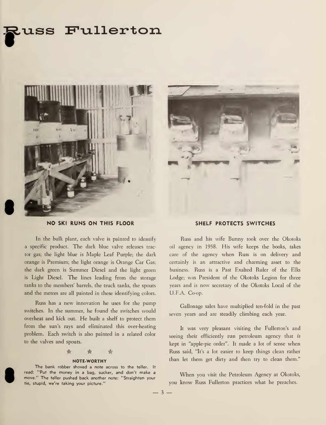## ss Fullerton





#### NO SKI RUNS ON THIS FLOOR

In the bulk plant, each valve is painted to identify <sup>a</sup> specific product. The dark blue valve releases tractor gas; the light blue is Maple Leaf Purple; the dark orange is Premium; the light orange is Orange Car Gas; the dark green is Summer Diesel and the light green is Light Diesel. The lines leading from the storage tanks to the members' barrels, the truck tanks, the spouts and the metres are all painted in these identifying colors.

Russ has <sup>a</sup> new innovation he uses for the pump switches. In the summer, he found the switches would overheat and kick out. He built <sup>a</sup> shelf to protect them from the sun's rays and eliminated this over-heating problem. Each switch is also painted in a related color to the valves and spouts.

\* \* -k

#### NOTE-WORTHY

The bank robber shoved a note across to the teller. It read: "Put the money in a bag, sucker, and don't make a move." The teller pushed back another note: "Straighten your tie, stupid, we're taking your picture."

#### SHELF PROTECTS SWITCHES

Russ and his wife Bunny took over the Okotoks oil agency in 1958. His wife keeps the books, takes care of the agency when Russ is on delivery and certainly is an attractive and charming asset to the business. Russ is a Past Exalted Ruler of the Elks Lodge; was President of the Okotoks Legion for three years and is now secretary of the Okotoks Local of the U.F.A. Co-op.

Gallonage sales have multiplied ten-fold in the past seven years and are steadily climbing each year.

It was very pleasant visiting the Fullerton's and seeing their efficiently run petroleum agency that is kept in "apple-pie order". It made <sup>a</sup> lot of sense when Russ said, "It's a lot easier to keep things clean rather than let them get dirty and then try to clean them."

When you visit the Petroleum Agency at Okotoks, you know Russ Fullerton practices what he preaches.

 $-3-$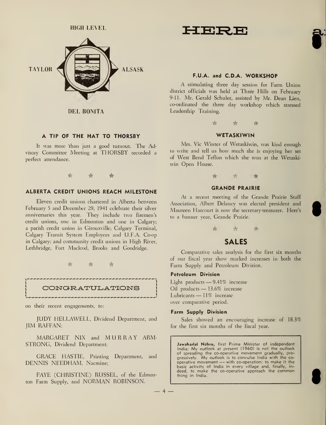HIGH LEVEL



DEL BONITA

#### A TIP OF THE HAT TO THORSBY

It was more than just <sup>a</sup> good turnout. The Advisory Committee Meeting at THORSBY recorded <sup>a</sup> perfect attendance.

-k k k

#### ALBERTA CREDIT UNIONS REACH MILESTONE

Eleven credit unions chartered in Alberta between February <sup>5</sup> and December 29, 1941 celebrate their silver anniversaries this year. They include two firemen's credit unions, one in Edmonton and one in Calgary; a parish credit union in Girouxville; Calgary Terminal, Calgary Transit System Employees and U.F.A. Co-op in Calgary; and community credit unions in High River, Lethbridge, Fort Macleod, Brooks and Goodridge.



#### CONGRATULATIONS

on their recent engagements, to:

JUDY HELLAWELL, Dividend Department, and JIM RAFFAN;

MARGARET NIX and MURRAY ARM-STRONG, Dividend Department;

GRACE HASTIE, Printing Department, and DENNIS NEEDHAM, Nacmine;

FAYE (CHRISTINE) RUSSEL, of the Edmonton Farm Supply, and NORMAN ROBINSON.



#### F.U.A. and C.D.A. WORKSHOP

A stimulating three day session for Farm Union district officials was held at Three Hills on February 9-11. Mr. Gerald Schuler, assisted by Mr. Dean Lien, co-ordinated the three day workshop which stressed Leadership Training.



#### **WETASKIWIN**

Mrs. Vic Winter of Wetaskiwin, was kind enough to write and tell us how much she is enjoying her set of West Bend Teflon which she won at the Wetaskiwin Open House.<br>
★<br>
★<br>
★



#### GRANDE PRAIRIE

At <sup>a</sup> recent meeting of the Grande Prairie Staff Association, Albert Delaney was elected president and Maureen Harcourt is now the secretary-treasurer. Here's to a banner year, Grande Prairie.



## SALES

Comparative sales analysis for the first six months of our fiscal year show marked increases in both the Farm Supply and Petroleum Division.

#### Petroleum Division

Light products — 9.41% increase Oil products — 13.6% increase Lubricants — 11% increase over comparative period.

#### Farm Supply Division

Sales showed an encouraging increase of 18.3% for the first six months of the fiscal year.

Jawaharlal Nehru, first Prime Minister of independent India: My outlook at present (1960) is not the outlook of spreading the co-operative movement gradually, progressively. My outlook is to convulse India with the co-<br>operative movement — with co-operation: to make it the basic activity of India in every village and, finally, in deed, to make the co-operative approach the common thing in India.

 $-4$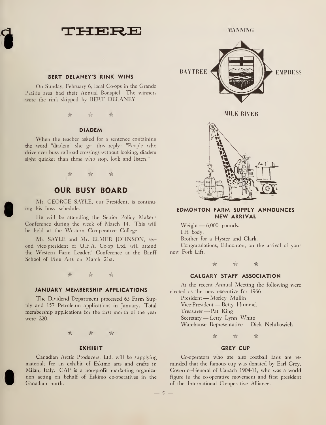THERE MANNING

#### BERT DELANEY'S RINK WINS

On Sunday, February 6, local Co-ops in the Grande Prairie area had their Annual Bonspiel. The winners were the rink skipped by BERT DELANEY.

 $\mathbb{R}$   $\mathbb{R}$   $\mathbb{R}$ 

#### DIADEM

When the teacher asked for <sup>a</sup> sentence containing the word "diadem" she got this reply: "People who drive over busy railroad crossings without looking, diadem sight quicker than those who stop, look and listen."

\* A \*

### OUR BUSY BOARD

Mr. GEORGE SAYLE, our President, is continuing his busy schedule.

He will be attending the Senior Policy Maker's Conference during the week of March 14. This will be held at the Western Co-operative College.

Mr. SAYLE and Mr. ELMER JOHNSON, sec ond vice-president of U.F.A. Co-op Ltd. will attend the Western Farm Leaders' Conference at the Banff School of Fine Arts on March 21st.

 $\qquad \qquad \mathbb{A}$ 

#### JANUARY MEMBERSHIP APPLICATIONS

The Dividend Department processed 63 Farm Supply and 157 Petroleum applications in January. Total membership applications for the first month of the year were 220.

 $\qquad \qquad \qquad \qquad \hat{r}$ 

#### **EXHIBIT**

Canadian Arctic Producers, Ltd. will be supplying materials for an exhibit of Eskimo arts and crafts in Milan, Italy. CAP is <sup>a</sup> non-profit marketing organization acting on behalf of Eskimo co-operatives in the Canadian north.



MILK RIVER



#### EDMONTON FARM SUPPLY ANNOUNCES NEW ARRIVAL

Weight — 6,000 pounds. <sup>I</sup> H body. Brother for a Hyster and Clark. Congratulations, Edmonton, on the arrival of your new Fork Lift.

\* <k \*

#### CALGARY STAFF ASSOCIATION

At the recent Annual Meeting the following were elected as the new executive for 1966:

President — Morley Mullin Vice-President — Betty Hummel Treasurer —Pat King Secretary — Letty Lynn White Warehouse Representative — Dick Nelubowich

\* \* \*

#### GREY CUP

Co-operators who are also football fans are re minded that the famous cup was donated by Earl Grey, Governor-General of Canada 1904-11, who was <sup>a</sup> world figure in the co-operative movement and first president of the International Co-operative Alliance.

 $-5 -$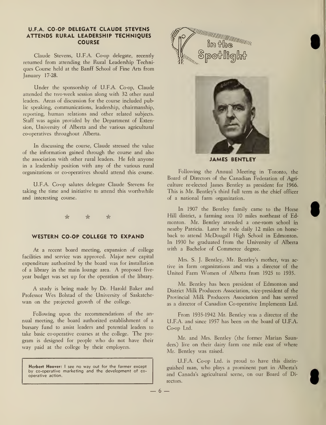#### U.F.A. CO-OP DELEGATE CLAUDE STEVENS ATTENDS RURAL LEADERSHIP TECHNIQUES **COURSE**

Claude Stevens, U.F.A. Co-op delegate, recently returned from attending the Rural Leadership Techniques Course held at the Banff School of Fine Arts from January 17-28.

Under the sponsorship of U.F.A. Co-op, Claude attended the two-week session along with 32 other rural leaders. Areas of discussion for the course included public speaking, communications, leadership, chairmanship, reporting, human relations and other related subjects. Staff was again provided by the Department of Extension, University of Alberta and the various agricultural co-operatives throughout Alberta.

In discussing the course, Claude stressed the value of the information gained through the course and also the association with other rural leaders. He felt anyone in a leadership position with any of the various rural organizations or co-operatives should attend this course.

U.F.A. Co-op salutes delegate Claude Stevens for taking the time and initiative to attend this worthwhile and interesting course.

#### \* # \*

#### WESTERN CO-OP COLLEGE TO EXPAND

At a recent board meeting, expansion of college facilities and service was approved. Major new capital expenditure authorized by the board was for installation of <sup>a</sup> library in the main lounge area. A proposed five year budget was set up for the operation of the library.

A study is being made by Dr. Harold Baker and Professor Wes Bolstad of the University of Saskatche wan on the projected growth of the college.

Following upon the recommendations of the an nual meeting, the board authorized establishment of a bursary fund to assist leaders and potential leaders to take basic co-operative courses at the college. The pro gram is designed for people who do not have their way paid at the college by their employers.

Herbert Hoover: I see no way out for the farmer except by co-operative marketing and the development of co operative action.





JAMES BENTLEY

Following the Annual Meeting in Toronto, the Board of Directors of the Canadian Federation of Agri culture re-elected James Bentley as president for 1966. This is Mr. Bentley's third full term as the chief officer of a national farm organization.

In 1907 the Bentley family came to the Horse Hill district, a farming area 10 miles northeast of Edmonton. Mr. Bentley attended a one-room school in nearby Patricia. Later he rode daily 12 miles on horse back to attend McDougall High School in Edmonton. In 1930 he graduated from the University of Alberta with a Bachelor of Commerce degree.

Mrs. S. J. Bentley, Mr. Bentley's mother, was active in farm organizations and was a director of the United Farm Women of Alberta from <sup>1925</sup> to 1935.

Mr. Bentley has been president of Edmonton and District Milk Producers Association, vice-president of the Provincial Milk Producers Association and has served as a director of Canadian Co-operative Implements Ltd.

From 1935-1942 Mr. Bentley was <sup>a</sup> director of the U.F.A. and since 1957 has been on the board of U.F.A. Co-op Ltd.

Mr. and Mrs. Bentley (the former Marian Saunders) live on their dairy farm one mile east of where Mr. Bentley was raised.

U.F.A. Co-op Ltd. is proud to have this distin guished man, who plays <sup>a</sup> prominent part in Alberta's and Canada's agricultural scene, on our Board of Directors.

 $-6-$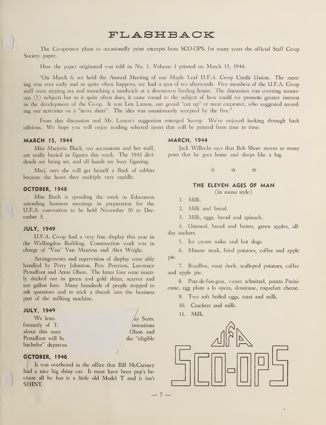## FLASHBACK

The Co-operator plans to occasionally print excerpts from SCO-OPS, for many years the official Staff Co-op Society paper.

How the paper originated was told in No. 1, Volume <sup>1</sup> printed on March 15, 1944.

"On March 6, we held the Annual Meeting of our Maple Leaf U.F.A. Co-op Credit Union. The meeting was over early and as quite often happens, we had <sup>a</sup> spot of tea afterwards. Five members of the U.F.A. Co-op staff were sipping tea and munching <sup>a</sup> sandwich at <sup>a</sup> downtown feeding house. The discussion was covering numerous (?) subjects but as it quite often does, it came round to the subject of how could we promote greater interest in the development of the Co-op. It was Len Larson, our genial "cut up" or meat carpenter, who suggested record ing our activities on <sup>a</sup> "news sheet". The idea was unanimously accepted by the five."

From this discussion and Mr. Larson's suggestion emerged Sco-op. We've enjoyed looking through back editions. We hope you will enjoy reading selected items that will be printed from time to time.

#### MARCH 15, 1944

Miss Marjorie Black, our accountant and her staff, are really buried in figures this week. The 1943 divi dends are being set, and all hands are busy figuring.

Marj. says she will get herself a flock of rabbits because she hears they multiply very rapidly.

#### OCTOBER, 1948

Miss Birch is spending the week in Edmonton attending business meetings in preparation for the U.F.A. convention to be held November 30 to Dec ember 3.

#### JULY, 1949

U.F.A. Co-op had a very fine display this year in the Wellingdon Building. Construction work was in charge of "Van" Van Maarion and Alex Wright.

Arrangements and supervision of display were ably handled by Perry Johnston, Pete Peterson, Lawrence Proudfoot and Arnie Olson. The latter four were smartly decked out in green and gold shirts, scarves and ten gallon hats. Many hundreds of people stopped to ask questions and to stick <sup>a</sup> thumb into the business part of the milking machine.

#### **JULY, 1949**

We lean formerly of T. about this mari Proudfoot will be bachelor" departme  $\Delta y$  Suits, intentions Olson and the "eligible J

#### OCTOBER, 1946

It was overheard in the office that Bill McCartney had <sup>a</sup> nice big shiny car. It must have been pop's be cause all he has is <sup>a</sup> little old Model T and it isn't SHINY.

#### MARCH, 1944

Jack Willocks says that Bob Shore moves so many posts that he goes home and sleeps like <sup>a</sup> log.

> **A**  $\rightarrow$ ☆

### THE ELEVEN AGES OF MAN

(in menu style)

1. Milk.

2. Milk and bread.

3. Milk, eggs, bread and spinach.

4. Oatmeal, bread and butter, green apples, all day suckers.

5. Ice cream sodas and hot dogs.

6. Minute steak, fried potatoes, coffee and apple pie.

7. Bouillon, roast duck, scalloped potatoes, coffee and apple pie.

8. Pate-de-fois-gras, wener schnitzel, potato Parisi enne, egg plant a la opera, demitasse, roquefort cheese.

9. Two soft boiled eggs, toast and milk.

10. Crackers and milk.

11. Milk.

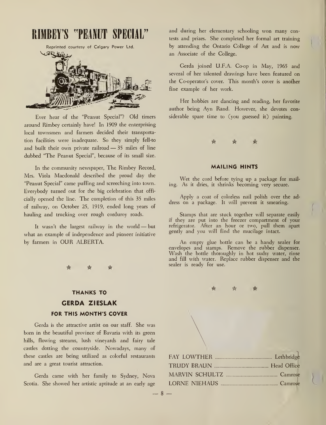## RIMBEY'S "PEANUT SPECIA

Reprinted courtesy of Calgary Power Ltd.



Ever hear of the "Peanut Special"? Old timers around Rimbey certainly have! In 1909 the enterprising local townsmen and farmers decided their transportation facilities were inadequate. So they simply fell-to and built their own private railroad — <sup>35</sup> miles of line dubbed "The Peanut Special", because of its small size.

In the community newspaper, The Rimbey Record, Mrs. Viola Macdonald described the proud day the "Peanut Special" came puffing and screeching into town. Everybody turned out for the big celebration that officially opened the line. The completion of this 35 miles of railway, on October 25, 1919, ended long years of hauling and trucking over rough corduroy roads.

It wasn't the largest railway in the world — but what an example of independence and pioneer initiative by farmers in OUR ALBERTA.

## THANKS TO CERDA ZIESLAK FOR THIS MONTH'S COVER

Gerda is the attractive artist on our staff. She was born in the beautiful province of Bavaria with its green hills, flowing streams, lush vineyards and fairy tale castles dotting the countryside. Nowadays, many of these castles are being utilized as colorful restaurants and are a great tourist attraction.

Gerda came with her family to Sydney, Nova Scotia. She showed her artistic aptitude at an early age and during her elementary schooling won many contests and prizes. She completed her formal art training by attending the Ontario College of Art and is now an Associate of the College.

Gerda joined U.F.A. Co-op in May, 1965 and several of her talented drawings have been featured on the Co-operator's cover. This month's cover is another fine example of her work.

Her hobbies are dancing and reading, her favorite author being Ayn Rand. However, she devotes considerable spare time to (you guessed it) painting.



#### MAILING HINTS

Wet the cord before tying up <sup>a</sup> package for mailing. As it dries, it shrinks becoming very secure.

Apply a coat of colorless nail polish over the address on a package. It will prevent it smearing.

Stamps that are stuck together will separate easily if they are put into the freezer compartment of your refrigerator. After an hour or two, pull them apart gently and you will find the mucilage intact.

An empty glue bottle can be <sup>a</sup> handy sealer for envelopes and stamps. Remove the rubber dispenser. Wash the bottle thoroughly in hot sudsy water, rinse and fill with water. Replace rubber dispenser and the sealer is ready for use.

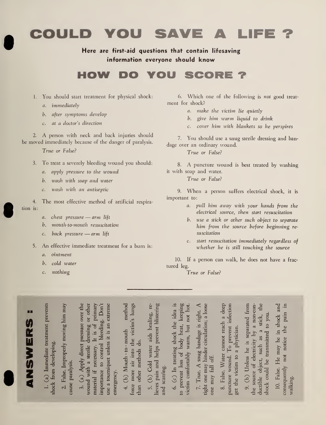COULD YOU SAVE A LIFE ?

## Here are first-aid questions that contain lifesaving information everyone should know

# HOW DO YOU SCORE ?

- 1. You should start treatment for physical shock:
	- a. immediately
	- b. after symptoms develop
	- c. at a doctor's direction

2. A person with neck and back injuries should be moved immediately because of the danger of paralysis.

True or False?

- 3. To treat <sup>a</sup> severely bleeding wound you should:
	- a. apply pressure to the wound
	- b. wash with soap and water
	- c. wash with an antiseptic

4. The most effective method of artificial respira tion is:

- a. chest pressure arm lift
- b. mouth-to-mouth resuscitation
- c. back pressure —arm lift
- 5. An effective immediate treatment for <sup>a</sup> burn is:

 $\sim$ .s s

- a. ointment
- b. cold water
- c. nothing

43

6. Which one of the following is not good treat ment for shock?

- a. make the victim lie quietly
- b. give him warm liquid to drink
- c. cover him with blankets so he perspires

7. You should use a snug sterile dressing and bandage over an ordinary wound.

True or False?

8. A puncture wound is best treated by washing it with soap and water.

True or False?

9. When a person suffers electrical shock, it is important to:

- a. pull him away with your hands from the electrical source, then start resuscitation
- b. use a stick or other such object to separate him from the source before beginning re suscitation
- c. start resuscitation immediately regardless of whether he is still touching the source

10. If a person can walk, he does not have a frac tured leg.

True or False?

 $5 \cdot 2$ 

 $\frac{26}{10}$ 

0) K <u>i i se na s</u>  $\sum_{\substack{\text{adjoint} \\ \text{redu}}}$  $\mathbf{v}$  is  $\sum_{\alpha}$ rtis en la proposition de la proposition de la proposition de la proposition de la proposition de la propositi  $\mathbf{H}$   $\mathbf{B}$ tdiate tr<br>eloping<br>roperly <u >  $\begin{array}{c} \text{ln} \ \text{from} \ \text{else.} \end{array}$  $\frac{1}{2}$ a<br>G E E  $\blacksquare$ oving<br>C  $\bullet$  .  $\vec{p}$ E 5 G D re<br>C  $\frac{1}{2}$  g  $\frac{1}{2}$ r other<br>vrimary<br>Don't<br>xtreme<br>xtreme  $\frac{1}{2}$  o  $\frac{1}{2}$  o  $\frac{1}{2}$ sure ov<br>
sing or<br>
s of pr<br>
eding.<br>
s an ex  $\sin \theta$  -sin  $\sin \theta$  -sin  $\sin \theta$ (a) Apply direct pressure over the e<br>Le 4 :  $\mathfrak{d} \rightarrow \mathfrak{d}$  in  $\mathfrak{m}$ H radio<br>San<br>Oo on O  $\geq$   $\frac{5}{4}$  $\mathfrak{a}$  is to control  $\Xi$   $\Xi$  $\frac{A}{\dot{H}}$ 43  $\bm{\omega}$  . u j ial tan m R CD o  $\overline{5}$ e<br>E c<br>ci CMerge<br>
1<br>
1  $\frac{\text{d}}{\text{d}}$  $\sim$   $\mu$  $\ddot{\tilde{a}}$  $\overline{z}$  ,  $\overline{z}$  ,  $\overline{z}$  ,  $\overline{z}$  ,  $\overline{z}$  ,  $\overline{z}$  ,  $\overline{z}$  ,  $\overline{z}$  ,  $\overline{z}$  ,  $\overline{z}$  ,  $\overline{z}$  ,  $\overline{z}$  ,  $\overline{z}$  ,  $\overline{z}$  ,  $\overline{z}$  ,  $\overline{z}$  ,  $\overline{z}$  ,  $\overline{z}$  ,  $\overline{z}$  ,  $\overline{z}$  , ath - to<br>ir into<br>ethods<br>a  $\overline{\phantom{a}}$  get  $\mathop{\mathrm{Gr}}\nolimits$ ing, re<br>listering<br>distering 5. (b) Cold water aids healing, re-.<u>പ്</u> ല  $\frac{1}{2}$   $\frac{1}{2}$  $\mathbb{R}^{\mathbf{q}}$  . 5. (b)  $Co$ <br>ieves pain a<br>md scarring.<br> $\epsilon$   $\sim$  1. idee<br>star of<br>ight  $\frac{a}{c}$ 7. True. A snug bandage is right. A  $\frac{\text{d}}{\text{d}}$   $\frac{\text{d}}{\text{d}}$   $\frac{\text{d}}{\text{d}}$ ے ق ≚ ≥ م  $rac{1}{2}$  3  $rac{1}{2}$  3  $rac{1}{2}$  3  $rac{1}{2}$  3  $rac{1}{2}$  3  $rac{1}{2}$  3  $rac{1}{2}$  3  $rac{1}{2}$  3  $rac{1}{2}$  3  $rac{1}{2}$  3  $rac{1}{2}$  3  $rac{1}{2}$  3  $rac{1}{2}$  3  $rac{1}{2}$  3  $rac{1}{2}$  3  $rac{1}{2}$  3  $rac{1}{2}$  3  $rac{1}{2}$  3  $rac{1}{2}$  3  $rac{1}{2}$  3  $\frac{\text{tree}}{\text{loss}}$  $\frac{1}{2}$   $\frac{1}{2}$   $\frac{1}{2}$  $4$  se  $\frac{1}{a}$  ,  $\frac{1}{b}$  $\cdot$   $\overline{a}$   $\overline{b}$   $\overline{c}$   $\overline{c}$   $\overline{c}$   $\overline{c}$   $\overline{c}$   $\overline{c}$   $\overline{c}$   $\overline{c}$   $\overline{c}$   $\overline{c}$   $\overline{c}$   $\overline{c}$   $\overline{c}$   $\overline{c}$   $\overline{c}$   $\overline{c}$   $\overline{c}$   $\overline{c}$   $\overline{c}$   $\overline{c}$   $\overline{c}$   $\overline{c}$  bandage<br>r circula<br>  $\begin{array}{c} \mathbf{A}\ \mathbf{sn}\ \mathbf{an}\ \mathbf{r}\ \mathbf{d}\ \mathbf{r}\ \mathbf{d}\ \mathbf{r}\ \mathbf{d}\ \mathbf{r}\ \mathbf{d}\ \mathbf{r}\ \mathbf{d}\ \mathbf{r}\ \mathbf{d}\ \mathbf{r}\ \mathbf{r}\ \mathbf{r}\ \mathbf{r}\ \mathbf{r}\ \mathbf{r}\ \mathbf{r}\ \mathbf{r}\ \mathbf{r}\ \mathbf{r}\ \mathbf{r}\ \mathbf{r}\ \mathbf{r}\ \mathbf{r}\ \mathbf{r}\ \mathbf{r}\ \mathbf{r}\ \mathbf{r}\ \mathbf{r}\ \mathbf{r}\ \mathbf$ ne.<br>e F<sub>4</sub><br>discles  $\sim$  $\lim\limits_{t\to\infty}$  $\Xi$  ...  $\bullet$ re CD g<br>Pre  $\circ$   $\sim$ c $\frac{3}{2}$  H  $\frac{2}{3}$  $\frac{1}{2}$   $\frac{1}{2}$   $\frac{1}{2}$   $\frac{1}{2}$   $\frac{1}{2}$   $\frac{1}{2}$  $W_{\text{a}}$ <br> $\text{tan}$ <br> $\text{tan}$ <br> $\text{ln}$  $\frac{1}{2}$  up to  $\frac{1}{2}$  up to  $\frac{1}{2}$ re Haman<br>Final  $\begin{array}{ccccc} \text{punc} & \text{p-c} & \text{p-c} & \text{p-c} & \text{p-c} & \text{p-c} & \text{p-c} & \text{p-c} & \text{p-c} & \text{p-c} & \text{p-c} & \text{p-c} & \text{p-c} & \text{p-c} & \text{p-c} & \text{p-c} & \text{p-c} & \text{p-c} & \text{p-c} & \text{p-c} & \text{p-c} & \text{p-c} & \text{p-c} & \text{p-c} & \text{p-c} & \text{p-c} & \text{p-c} & \text{p-c} & \text{p-c} & \text{p-c} & \text$  $\mathbf{\omega}$  $\Xi$  . ರ ೨  $\bm{v}$  $\vec{H}$  a  $\vec{H}$   $\vec{H}$ re $\mathbb{G}\supseteq\mathbb{G}$ ss he<br>electri<br>t, suc  $\sim$   $-$ َاعْتَ<br>مَامَّةٍ<br>تَأْتُمْتُ  $\Xi$ On <del>1</del> o d re -d<br>as a<br>cod<br>as a<br>cod ect, CD He

in shock and pain  $\mathbf{S}$   $\mathbf{S}$   $\mathbf{A}$ ಕ್ನ <sub>ಲ</sub>  $\Xi$  .  $\Xi$ such<br>ransm<br>may<br>may 10. False. He may be noi ible o<br>k coul<br>equent<br>equent<br>ing. dentities<br>Only not be valid<br>Some alkin ductible object, such as<br>shock could be transmittee<br>10. False. He may be i<br>consequently not notice<br>walking.

 $\cdot$  $\overline{a}$